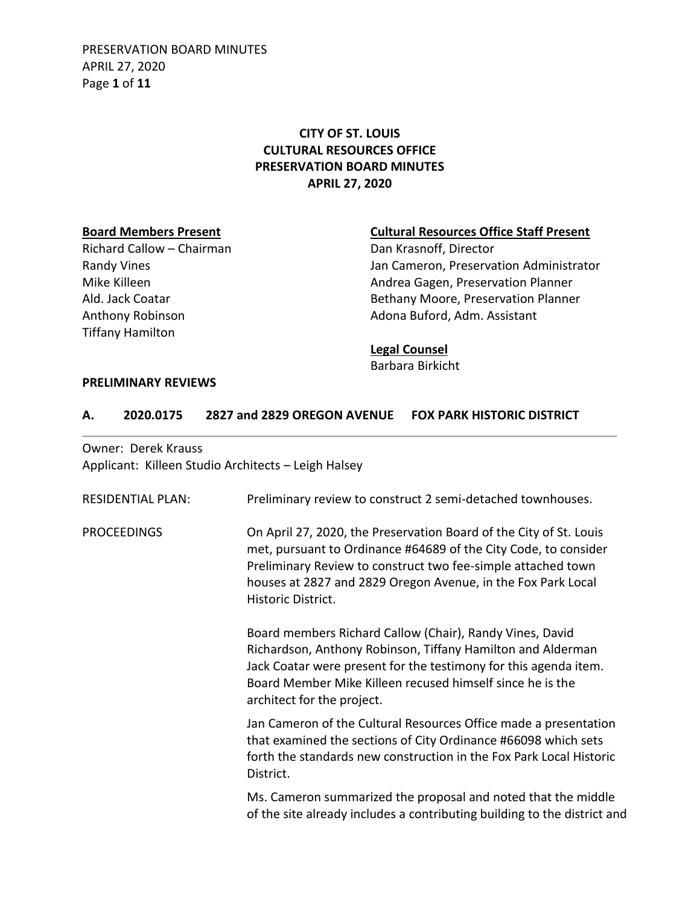PRESERVATION BOARD MINUTES APRIL 27, 2020 Page **1** of **11**

# **CITY OF ST. LOUIS CULTURAL RESOURCES OFFICE PRESERVATION BOARD MINUTES APRIL 27, 2020**

Richard Callow – Chairman Dan Krasnoff, Director Tiffany Hamilton

#### **Board Members Present Cultural Resources Office Staff Present**

Randy Vines **National Communistrator** Jan Cameron, Preservation Administrator Mike Killeen **Andrea Gagen, Preservation Planner** Andrea Gagen, Preservation Planner Ald. Jack Coatar **Bethany Moore, Preservation Planner** Bethany Moore, Preservation Planner Anthony Robinson **Adona Buford, Adm. Assistant** 

#### **Legal Counsel**

Barbara Birkicht

#### **PRELIMINARY REVIEWS**

#### **A. 2020.0175 2827 and 2829 OREGON AVENUE FOX PARK HISTORIC DISTRICT**

Owner: Derek Krauss Applicant: Killeen Studio Architects – Leigh Halsey

| <b>RESIDENTIAL PLAN:</b> | Preliminary review to construct 2 semi-detached townhouses.                                                                                                                                                                                                                                 |
|--------------------------|---------------------------------------------------------------------------------------------------------------------------------------------------------------------------------------------------------------------------------------------------------------------------------------------|
| <b>PROCEEDINGS</b>       | On April 27, 2020, the Preservation Board of the City of St. Louis<br>met, pursuant to Ordinance #64689 of the City Code, to consider<br>Preliminary Review to construct two fee-simple attached town<br>houses at 2827 and 2829 Oregon Avenue, in the Fox Park Local<br>Historic District. |
|                          | Board members Richard Callow (Chair), Randy Vines, David<br>Richardson, Anthony Robinson, Tiffany Hamilton and Alderman<br>Jack Coatar were present for the testimony for this agenda item.<br>Board Member Mike Killeen recused himself since he is the<br>architect for the project.      |
|                          | Jan Cameron of the Cultural Resources Office made a presentation<br>that examined the sections of City Ordinance #66098 which sets<br>forth the standards new construction in the Fox Park Local Historic<br>District.                                                                      |
|                          | Ms. Cameron summarized the proposal and noted that the middle<br>of the site already includes a contributing building to the district and                                                                                                                                                   |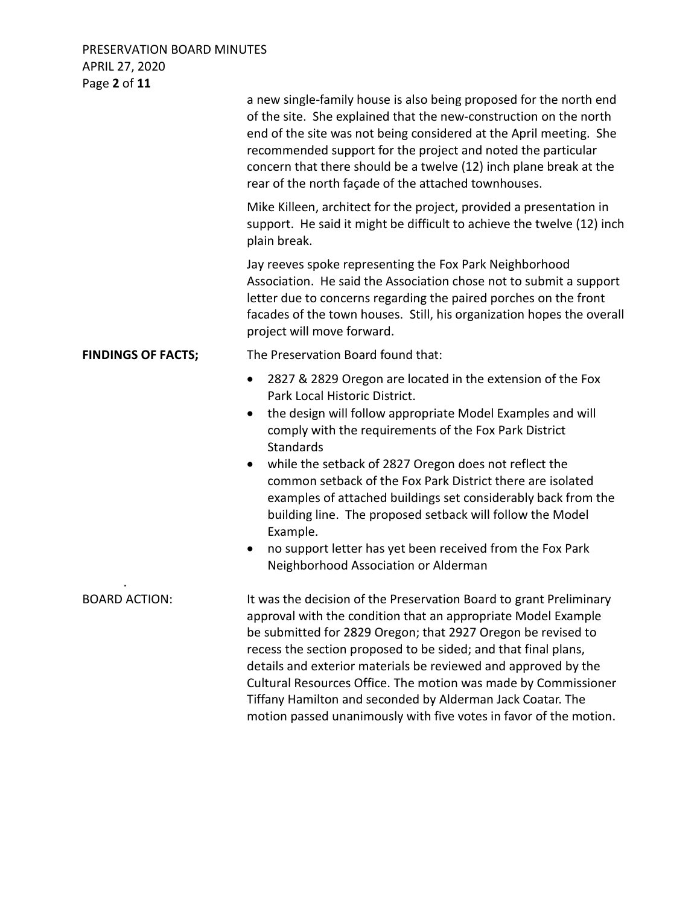PRESERVATION BOARD MINUTES APRIL 27, 2020 Page **2** of **11**

|                           | a new single-family house is also being proposed for the north end<br>of the site. She explained that the new-construction on the north<br>end of the site was not being considered at the April meeting. She<br>recommended support for the project and noted the particular<br>concern that there should be a twelve (12) inch plane break at the<br>rear of the north façade of the attached townhouses.                                                                                                                                                                                                                     |
|---------------------------|---------------------------------------------------------------------------------------------------------------------------------------------------------------------------------------------------------------------------------------------------------------------------------------------------------------------------------------------------------------------------------------------------------------------------------------------------------------------------------------------------------------------------------------------------------------------------------------------------------------------------------|
|                           | Mike Killeen, architect for the project, provided a presentation in<br>support. He said it might be difficult to achieve the twelve (12) inch<br>plain break.                                                                                                                                                                                                                                                                                                                                                                                                                                                                   |
|                           | Jay reeves spoke representing the Fox Park Neighborhood<br>Association. He said the Association chose not to submit a support<br>letter due to concerns regarding the paired porches on the front<br>facades of the town houses. Still, his organization hopes the overall<br>project will move forward.                                                                                                                                                                                                                                                                                                                        |
| <b>FINDINGS OF FACTS;</b> | The Preservation Board found that:                                                                                                                                                                                                                                                                                                                                                                                                                                                                                                                                                                                              |
|                           | 2827 & 2829 Oregon are located in the extension of the Fox<br>$\bullet$<br>Park Local Historic District.<br>the design will follow appropriate Model Examples and will<br>comply with the requirements of the Fox Park District<br>Standards<br>while the setback of 2827 Oregon does not reflect the<br>common setback of the Fox Park District there are isolated<br>examples of attached buildings set considerably back from the<br>building line. The proposed setback will follow the Model<br>Example.<br>no support letter has yet been received from the Fox Park<br>$\bullet$<br>Neighborhood Association or Alderman |
| <b>BOARD ACTION:</b>      | It was the decision of the Preservation Board to grant Preliminary<br>approval with the condition that an appropriate Model Example<br>be submitted for 2829 Oregon; that 2927 Oregon be revised to<br>recess the section proposed to be sided; and that final plans,<br>details and exterior materials be reviewed and approved by the<br>Cultural Resources Office. The motion was made by Commissioner<br>Tiffany Hamilton and seconded by Alderman Jack Coatar. The<br>motion passed unanimously with five votes in favor of the motion.                                                                                    |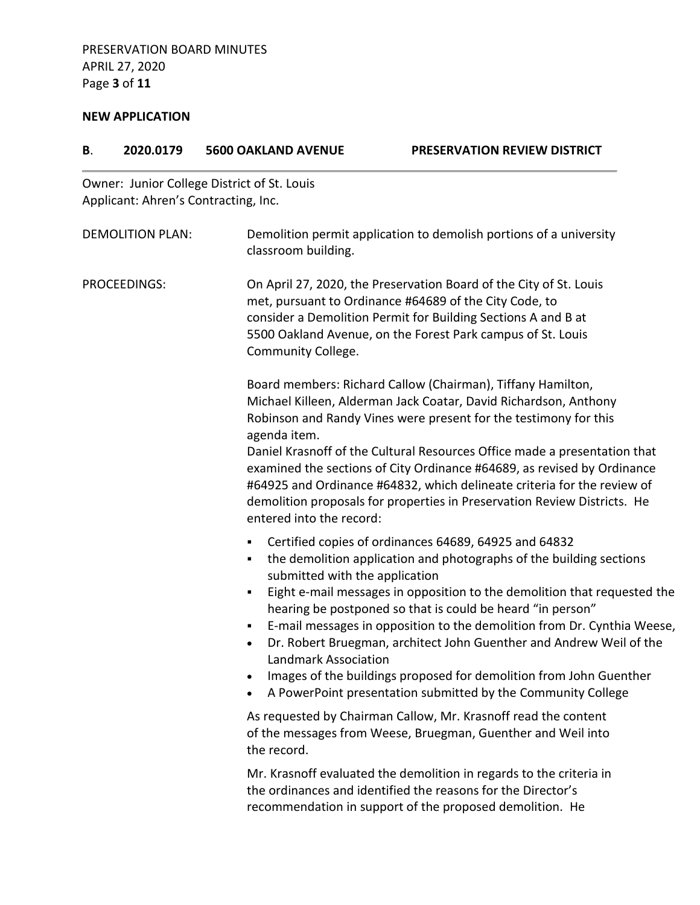# **NEW APPLICATION**

| В. | 2020.0179                            | <b>5600 OAKLAND AVENUE</b>                                                                                                     | PRESERVATION REVIEW DISTRICT                                                                                                                                                                                                                                                                                                                                                                                                                                                                                                                                   |
|----|--------------------------------------|--------------------------------------------------------------------------------------------------------------------------------|----------------------------------------------------------------------------------------------------------------------------------------------------------------------------------------------------------------------------------------------------------------------------------------------------------------------------------------------------------------------------------------------------------------------------------------------------------------------------------------------------------------------------------------------------------------|
|    | Applicant: Ahren's Contracting, Inc. | Owner: Junior College District of St. Louis                                                                                    |                                                                                                                                                                                                                                                                                                                                                                                                                                                                                                                                                                |
|    | <b>DEMOLITION PLAN:</b>              | classroom building.                                                                                                            | Demolition permit application to demolish portions of a university                                                                                                                                                                                                                                                                                                                                                                                                                                                                                             |
|    | PROCEEDINGS:                         | Community College.                                                                                                             | On April 27, 2020, the Preservation Board of the City of St. Louis<br>met, pursuant to Ordinance #64689 of the City Code, to<br>consider a Demolition Permit for Building Sections A and B at<br>5500 Oakland Avenue, on the Forest Park campus of St. Louis                                                                                                                                                                                                                                                                                                   |
|    |                                      | agenda item.<br>entered into the record:                                                                                       | Board members: Richard Callow (Chairman), Tiffany Hamilton,<br>Michael Killeen, Alderman Jack Coatar, David Richardson, Anthony<br>Robinson and Randy Vines were present for the testimony for this<br>Daniel Krasnoff of the Cultural Resources Office made a presentation that<br>examined the sections of City Ordinance #64689, as revised by Ordinance<br>#64925 and Ordinance #64832, which delineate criteria for the review of<br>demolition proposals for properties in Preservation Review Districts. He                                             |
|    |                                      | submitted with the application<br>٠<br><b>Landmark Association</b>                                                             | Certified copies of ordinances 64689, 64925 and 64832<br>the demolition application and photographs of the building sections<br>Eight e-mail messages in opposition to the demolition that requested the<br>hearing be postponed so that is could be heard "in person"<br>E-mail messages in opposition to the demolition from Dr. Cynthia Weese,<br>Dr. Robert Bruegman, architect John Guenther and Andrew Weil of the<br>Images of the buildings proposed for demolition from John Guenther<br>A PowerPoint presentation submitted by the Community College |
|    | the record.                          | As requested by Chairman Callow, Mr. Krasnoff read the content<br>of the messages from Weese, Bruegman, Guenther and Weil into |                                                                                                                                                                                                                                                                                                                                                                                                                                                                                                                                                                |
|    |                                      |                                                                                                                                | Mr. Krasnoff evaluated the demolition in regards to the criteria in<br>the ordinances and identified the reasons for the Director's<br>recommendation in support of the proposed demolition. He                                                                                                                                                                                                                                                                                                                                                                |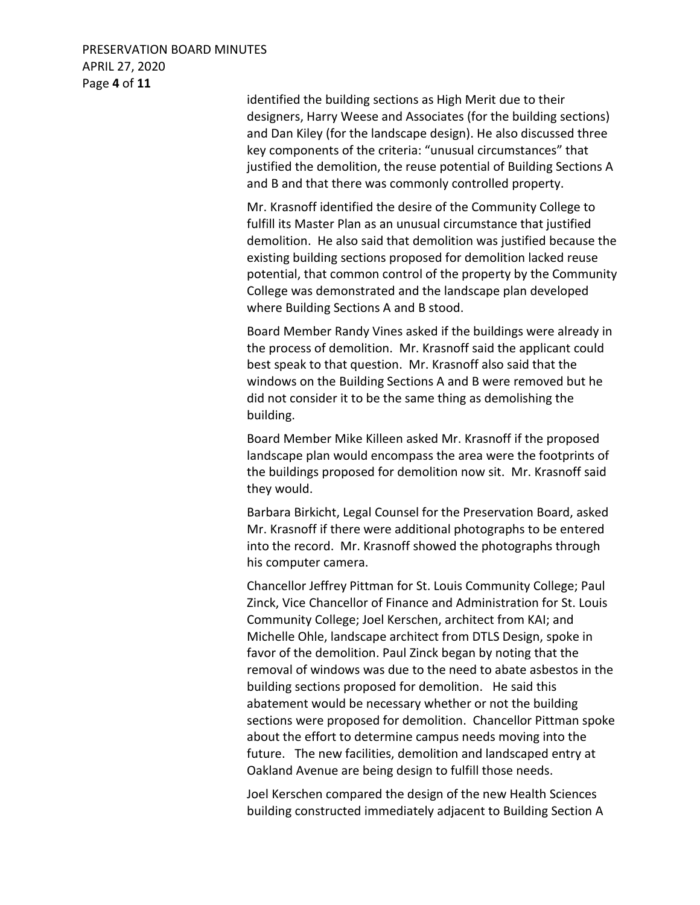## PRESERVATION BOARD MINUTES APRIL 27, 2020 Page **4** of **11**

identified the building sections as High Merit due to their designers, Harry Weese and Associates (for the building sections) and Dan Kiley (for the landscape design). He also discussed three key components of the criteria: "unusual circumstances" that justified the demolition, the reuse potential of Building Sections A and B and that there was commonly controlled property.

Mr. Krasnoff identified the desire of the Community College to fulfill its Master Plan as an unusual circumstance that justified demolition. He also said that demolition was justified because the existing building sections proposed for demolition lacked reuse potential, that common control of the property by the Community College was demonstrated and the landscape plan developed where Building Sections A and B stood.

Board Member Randy Vines asked if the buildings were already in the process of demolition. Mr. Krasnoff said the applicant could best speak to that question. Mr. Krasnoff also said that the windows on the Building Sections A and B were removed but he did not consider it to be the same thing as demolishing the building.

Board Member Mike Killeen asked Mr. Krasnoff if the proposed landscape plan would encompass the area were the footprints of the buildings proposed for demolition now sit. Mr. Krasnoff said they would.

Barbara Birkicht, Legal Counsel for the Preservation Board, asked Mr. Krasnoff if there were additional photographs to be entered into the record. Mr. Krasnoff showed the photographs through his computer camera.

Chancellor Jeffrey Pittman for St. Louis Community College; Paul Zinck, Vice Chancellor of Finance and Administration for St. Louis Community College; Joel Kerschen, architect from KAI; and Michelle Ohle, landscape architect from DTLS Design, spoke in favor of the demolition. Paul Zinck began by noting that the removal of windows was due to the need to abate asbestos in the building sections proposed for demolition. He said this abatement would be necessary whether or not the building sections were proposed for demolition. Chancellor Pittman spoke about the effort to determine campus needs moving into the future. The new facilities, demolition and landscaped entry at Oakland Avenue are being design to fulfill those needs.

Joel Kerschen compared the design of the new Health Sciences building constructed immediately adjacent to Building Section A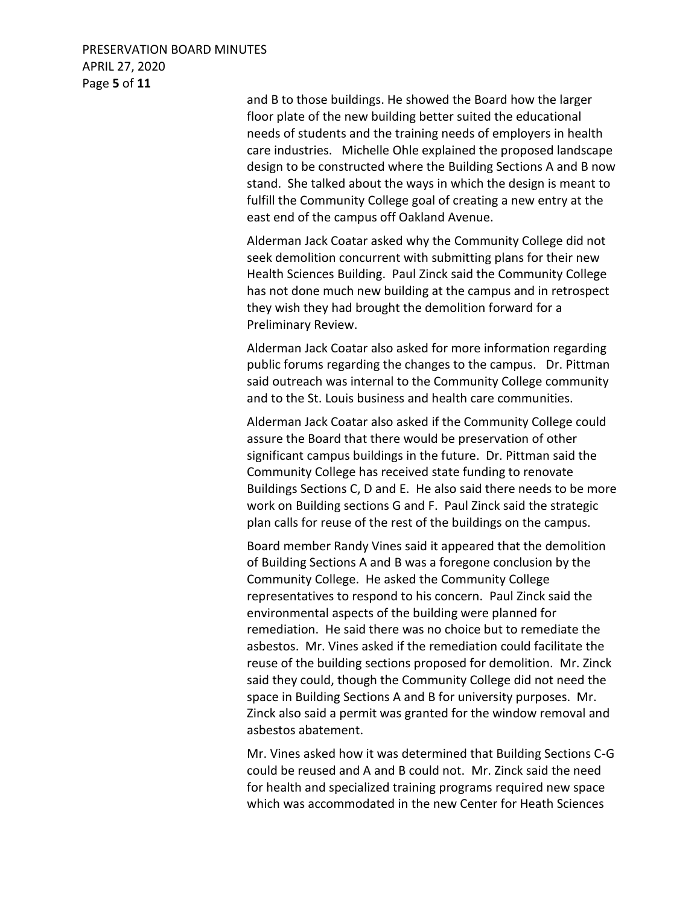## PRESERVATION BOARD MINUTES APRIL 27, 2020 Page **5** of **11**

and B to those buildings. He showed the Board how the larger floor plate of the new building better suited the educational needs of students and the training needs of employers in health care industries. Michelle Ohle explained the proposed landscape design to be constructed where the Building Sections A and B now stand. She talked about the ways in which the design is meant to fulfill the Community College goal of creating a new entry at the east end of the campus off Oakland Avenue.

Alderman Jack Coatar asked why the Community College did not seek demolition concurrent with submitting plans for their new Health Sciences Building. Paul Zinck said the Community College has not done much new building at the campus and in retrospect they wish they had brought the demolition forward for a Preliminary Review.

Alderman Jack Coatar also asked for more information regarding public forums regarding the changes to the campus. Dr. Pittman said outreach was internal to the Community College community and to the St. Louis business and health care communities.

Alderman Jack Coatar also asked if the Community College could assure the Board that there would be preservation of other significant campus buildings in the future. Dr. Pittman said the Community College has received state funding to renovate Buildings Sections C, D and E. He also said there needs to be more work on Building sections G and F. Paul Zinck said the strategic plan calls for reuse of the rest of the buildings on the campus.

Board member Randy Vines said it appeared that the demolition of Building Sections A and B was a foregone conclusion by the Community College. He asked the Community College representatives to respond to his concern. Paul Zinck said the environmental aspects of the building were planned for remediation. He said there was no choice but to remediate the asbestos. Mr. Vines asked if the remediation could facilitate the reuse of the building sections proposed for demolition. Mr. Zinck said they could, though the Community College did not need the space in Building Sections A and B for university purposes. Mr. Zinck also said a permit was granted for the window removal and asbestos abatement.

Mr. Vines asked how it was determined that Building Sections C-G could be reused and A and B could not. Mr. Zinck said the need for health and specialized training programs required new space which was accommodated in the new Center for Heath Sciences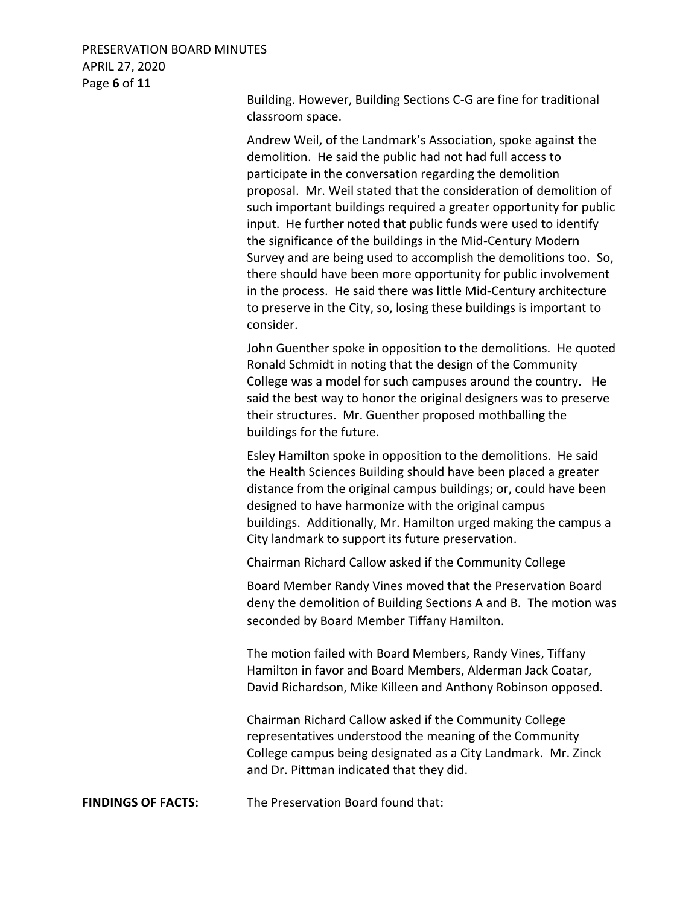#### PRESERVATION BOARD MINUTES APRIL 27, 2020 Page **6** of **11**

Building. However, Building Sections C-G are fine for traditional classroom space.

Andrew Weil, of the Landmark's Association, spoke against the demolition. He said the public had not had full access to participate in the conversation regarding the demolition proposal. Mr. Weil stated that the consideration of demolition of such important buildings required a greater opportunity for public input. He further noted that public funds were used to identify the significance of the buildings in the Mid-Century Modern Survey and are being used to accomplish the demolitions too. So, there should have been more opportunity for public involvement in the process. He said there was little Mid-Century architecture to preserve in the City, so, losing these buildings is important to consider.

John Guenther spoke in opposition to the demolitions. He quoted Ronald Schmidt in noting that the design of the Community College was a model for such campuses around the country. He said the best way to honor the original designers was to preserve their structures. Mr. Guenther proposed mothballing the buildings for the future.

Esley Hamilton spoke in opposition to the demolitions. He said the Health Sciences Building should have been placed a greater distance from the original campus buildings; or, could have been designed to have harmonize with the original campus buildings. Additionally, Mr. Hamilton urged making the campus a City landmark to support its future preservation.

Chairman Richard Callow asked if the Community College

Board Member Randy Vines moved that the Preservation Board deny the demolition of Building Sections A and B. The motion was seconded by Board Member Tiffany Hamilton.

The motion failed with Board Members, Randy Vines, Tiffany Hamilton in favor and Board Members, Alderman Jack Coatar, David Richardson, Mike Killeen and Anthony Robinson opposed.

Chairman Richard Callow asked if the Community College representatives understood the meaning of the Community College campus being designated as a City Landmark. Mr. Zinck and Dr. Pittman indicated that they did.

**FINDINGS OF FACTS:** The Preservation Board found that: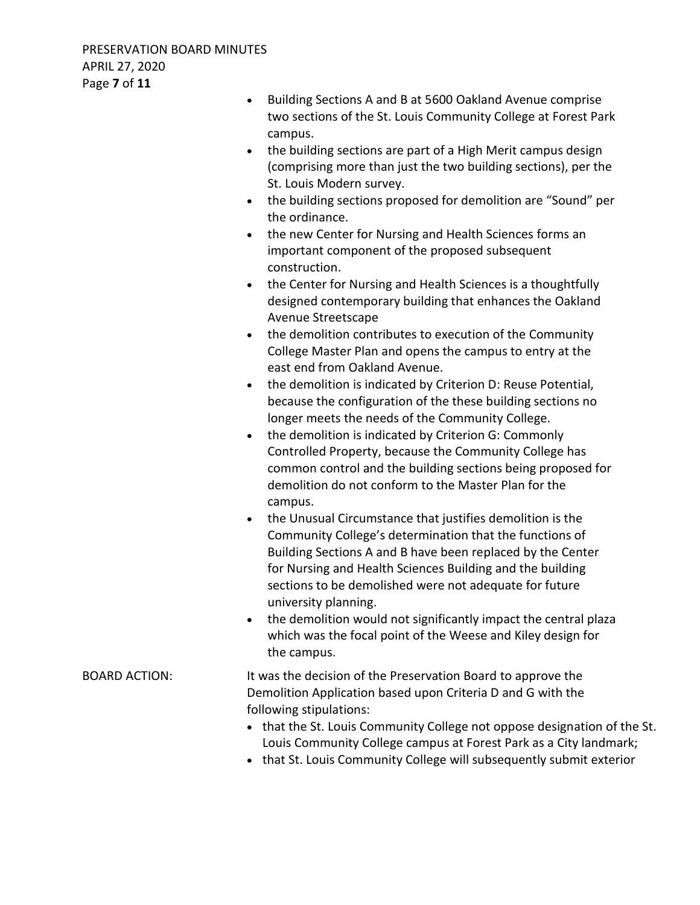- Building Sections A and B at 5600 Oakland Avenue comprise two sections of the St. Louis Community College at Forest Park campus. • the building sections are part of a High Merit campus design (comprising more than just the two building sections), per the St. Louis Modern survey. the building sections proposed for demolition are "Sound" per the ordinance. • the new Center for Nursing and Health Sciences forms an important component of the proposed subsequent construction. • the Center for Nursing and Health Sciences is a thoughtfully designed contemporary building that enhances the Oakland Avenue Streetscape the demolition contributes to execution of the Community College Master Plan and opens the campus to entry at the east end from Oakland Avenue. • the demolition is indicated by Criterion D: Reuse Potential, because the configuration of the these building sections no longer meets the needs of the Community College. • the demolition is indicated by Criterion G: Commonly Controlled Property, because the Community College has common control and the building sections being proposed for demolition do not conform to the Master Plan for the campus. the Unusual Circumstance that justifies demolition is the Community College's determination that the functions of Building Sections A and B have been replaced by the Center for Nursing and Health Sciences Building and the building sections to be demolished were not adequate for future university planning. • the demolition would not significantly impact the central plaza which was the focal point of the Weese and Kiley design for the campus. BOARD ACTION: It was the decision of the Preservation Board to approve the Demolition Application based upon Criteria D and G with the following stipulations: • that the St. Louis Community College not oppose designation of the St. Louis Community College campus at Forest Park as a City landmark;
	- that St. Louis Community College will subsequently submit exterior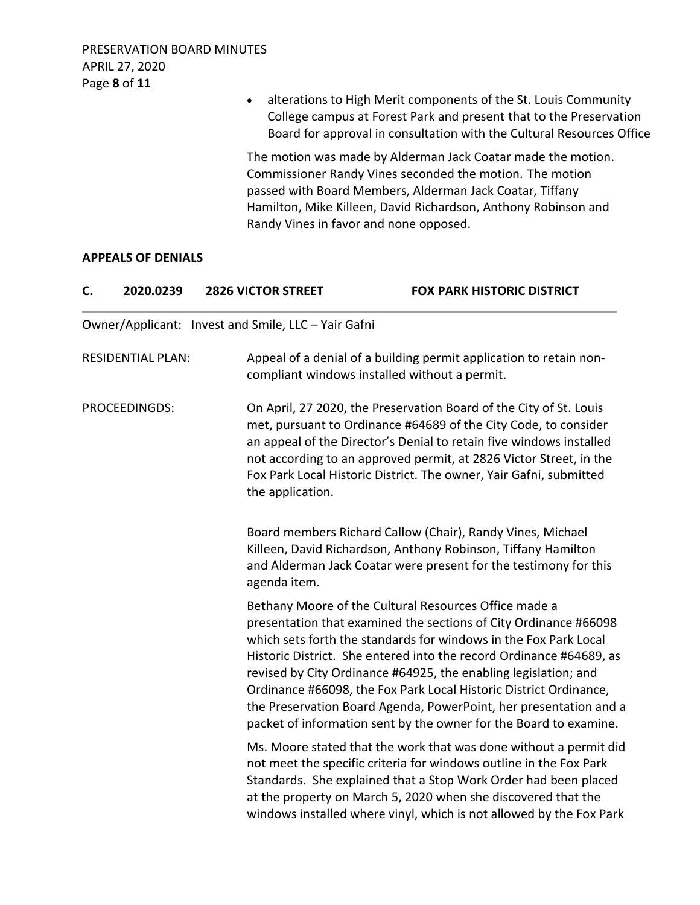alterations to High Merit components of the St. Louis Community College campus at Forest Park and present that to the Preservation Board for approval in consultation with the Cultural Resources Office

The motion was made by Alderman Jack Coatar made the motion. Commissioner Randy Vines seconded the motion. The motion passed with Board Members, Alderman Jack Coatar, Tiffany Hamilton, Mike Killeen, David Richardson, Anthony Robinson and Randy Vines in favor and none opposed.

#### **APPEALS OF DENIALS**

| C. | 2020.0239                | <b>2826 VICTOR STREET</b>                                                                                                                                                                                                                                                                                                                                                                                                                                                                                                                              | <b>FOX PARK HISTORIC DISTRICT</b>                                                                                                                                                                                                                                                                                                                        |
|----|--------------------------|--------------------------------------------------------------------------------------------------------------------------------------------------------------------------------------------------------------------------------------------------------------------------------------------------------------------------------------------------------------------------------------------------------------------------------------------------------------------------------------------------------------------------------------------------------|----------------------------------------------------------------------------------------------------------------------------------------------------------------------------------------------------------------------------------------------------------------------------------------------------------------------------------------------------------|
|    |                          | Owner/Applicant: Invest and Smile, LLC - Yair Gafni                                                                                                                                                                                                                                                                                                                                                                                                                                                                                                    |                                                                                                                                                                                                                                                                                                                                                          |
|    | <b>RESIDENTIAL PLAN:</b> |                                                                                                                                                                                                                                                                                                                                                                                                                                                                                                                                                        | Appeal of a denial of a building permit application to retain non-<br>compliant windows installed without a permit.                                                                                                                                                                                                                                      |
|    | PROCEEDINGDS:            | the application.                                                                                                                                                                                                                                                                                                                                                                                                                                                                                                                                       | On April, 27 2020, the Preservation Board of the City of St. Louis<br>met, pursuant to Ordinance #64689 of the City Code, to consider<br>an appeal of the Director's Denial to retain five windows installed<br>not according to an approved permit, at 2826 Victor Street, in the<br>Fox Park Local Historic District. The owner, Yair Gafni, submitted |
|    |                          | agenda item.                                                                                                                                                                                                                                                                                                                                                                                                                                                                                                                                           | Board members Richard Callow (Chair), Randy Vines, Michael<br>Killeen, David Richardson, Anthony Robinson, Tiffany Hamilton<br>and Alderman Jack Coatar were present for the testimony for this                                                                                                                                                          |
|    |                          | Bethany Moore of the Cultural Resources Office made a<br>presentation that examined the sections of City Ordinance #66098<br>which sets forth the standards for windows in the Fox Park Local<br>Historic District. She entered into the record Ordinance #64689, as<br>revised by City Ordinance #64925, the enabling legislation; and<br>Ordinance #66098, the Fox Park Local Historic District Ordinance,<br>the Preservation Board Agenda, PowerPoint, her presentation and a<br>packet of information sent by the owner for the Board to examine. |                                                                                                                                                                                                                                                                                                                                                          |
|    |                          |                                                                                                                                                                                                                                                                                                                                                                                                                                                                                                                                                        | Ms. Moore stated that the work that was done without a permit did<br>not meet the specific criteria for windows outline in the Fox Park<br>Standards. She explained that a Stop Work Order had been placed<br>at the property on March 5, 2020 when she discovered that the<br>windows installed where vinyl, which is not allowed by the Fox Park       |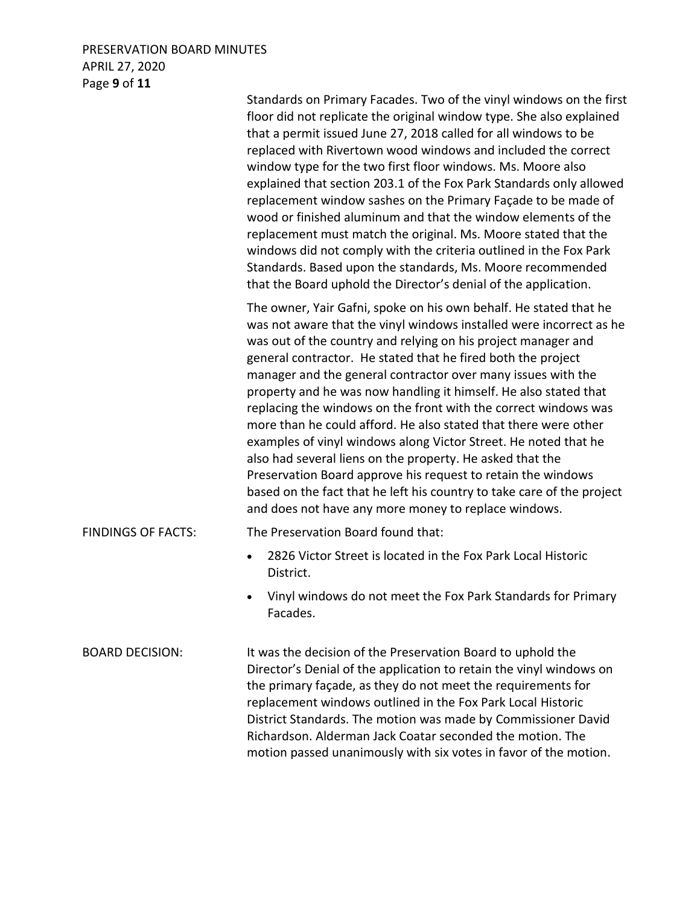# PRESERVATION BOARD MINUTES APRIL 27, 2020 Page **9** of **11**

|                           | Standards on Primary Facades. Two of the vinyl windows on the first<br>floor did not replicate the original window type. She also explained<br>that a permit issued June 27, 2018 called for all windows to be<br>replaced with Rivertown wood windows and included the correct<br>window type for the two first floor windows. Ms. Moore also<br>explained that section 203.1 of the Fox Park Standards only allowed<br>replacement window sashes on the Primary Façade to be made of<br>wood or finished aluminum and that the window elements of the<br>replacement must match the original. Ms. Moore stated that the<br>windows did not comply with the criteria outlined in the Fox Park<br>Standards. Based upon the standards, Ms. Moore recommended<br>that the Board uphold the Director's denial of the application.                                                       |
|---------------------------|---------------------------------------------------------------------------------------------------------------------------------------------------------------------------------------------------------------------------------------------------------------------------------------------------------------------------------------------------------------------------------------------------------------------------------------------------------------------------------------------------------------------------------------------------------------------------------------------------------------------------------------------------------------------------------------------------------------------------------------------------------------------------------------------------------------------------------------------------------------------------------------|
|                           | The owner, Yair Gafni, spoke on his own behalf. He stated that he<br>was not aware that the vinyl windows installed were incorrect as he<br>was out of the country and relying on his project manager and<br>general contractor. He stated that he fired both the project<br>manager and the general contractor over many issues with the<br>property and he was now handling it himself. He also stated that<br>replacing the windows on the front with the correct windows was<br>more than he could afford. He also stated that there were other<br>examples of vinyl windows along Victor Street. He noted that he<br>also had several liens on the property. He asked that the<br>Preservation Board approve his request to retain the windows<br>based on the fact that he left his country to take care of the project<br>and does not have any more money to replace windows. |
| <b>FINDINGS OF FACTS:</b> | The Preservation Board found that:                                                                                                                                                                                                                                                                                                                                                                                                                                                                                                                                                                                                                                                                                                                                                                                                                                                    |
|                           | 2826 Victor Street is located in the Fox Park Local Historic<br>District.                                                                                                                                                                                                                                                                                                                                                                                                                                                                                                                                                                                                                                                                                                                                                                                                             |
|                           | Vinyl windows do not meet the Fox Park Standards for Primary<br>Facades.                                                                                                                                                                                                                                                                                                                                                                                                                                                                                                                                                                                                                                                                                                                                                                                                              |
| <b>BOARD DECISION:</b>    | It was the decision of the Preservation Board to uphold the<br>Director's Denial of the application to retain the vinyl windows on<br>the primary façade, as they do not meet the requirements for<br>replacement windows outlined in the Fox Park Local Historic<br>District Standards. The motion was made by Commissioner David<br>Richardson. Alderman Jack Coatar seconded the motion. The                                                                                                                                                                                                                                                                                                                                                                                                                                                                                       |

motion passed unanimously with six votes in favor of the motion.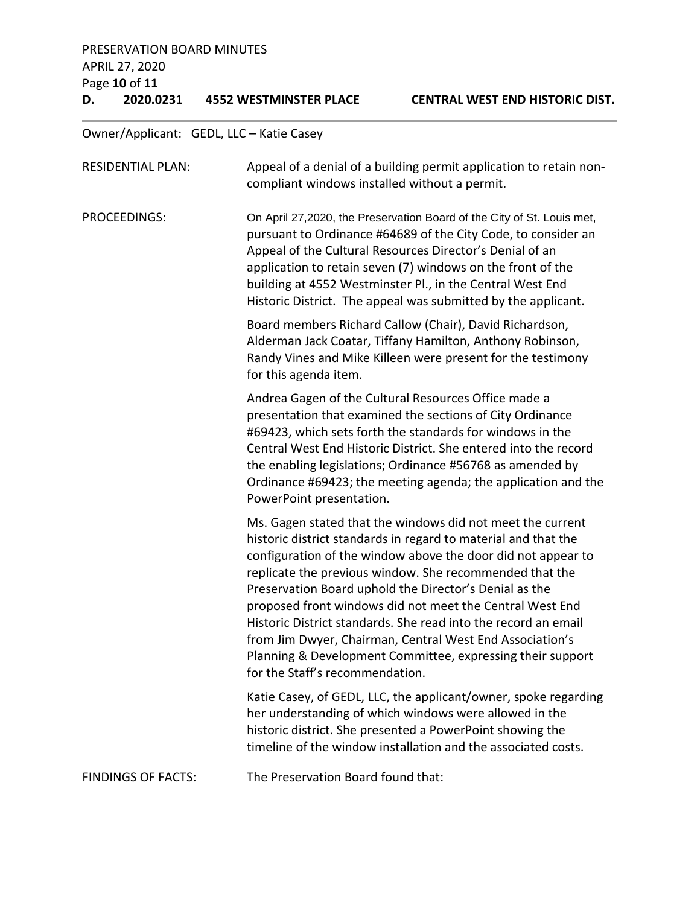# PRESERVATION BOARD MINUTES APRIL 27, 2020 Page **10** of **11**

**D. 2020.0231 4552 WESTMINSTER PLACE CENTRAL WEST END HISTORIC DIST.**

Owner/Applicant: GEDL, LLC – Katie Casey

| <b>RESIDENTIAL PLAN:</b>  | Appeal of a denial of a building permit application to retain non-<br>compliant windows installed without a permit.                                                                                                                                                                                                                                                                                                                                                                                                                                                                                          |
|---------------------------|--------------------------------------------------------------------------------------------------------------------------------------------------------------------------------------------------------------------------------------------------------------------------------------------------------------------------------------------------------------------------------------------------------------------------------------------------------------------------------------------------------------------------------------------------------------------------------------------------------------|
| <b>PROCEEDINGS:</b>       | On April 27,2020, the Preservation Board of the City of St. Louis met,<br>pursuant to Ordinance #64689 of the City Code, to consider an<br>Appeal of the Cultural Resources Director's Denial of an<br>application to retain seven (7) windows on the front of the<br>building at 4552 Westminster Pl., in the Central West End<br>Historic District. The appeal was submitted by the applicant.                                                                                                                                                                                                             |
|                           | Board members Richard Callow (Chair), David Richardson,<br>Alderman Jack Coatar, Tiffany Hamilton, Anthony Robinson,<br>Randy Vines and Mike Killeen were present for the testimony<br>for this agenda item.                                                                                                                                                                                                                                                                                                                                                                                                 |
|                           | Andrea Gagen of the Cultural Resources Office made a<br>presentation that examined the sections of City Ordinance<br>#69423, which sets forth the standards for windows in the<br>Central West End Historic District. She entered into the record<br>the enabling legislations; Ordinance #56768 as amended by<br>Ordinance #69423; the meeting agenda; the application and the<br>PowerPoint presentation.                                                                                                                                                                                                  |
|                           | Ms. Gagen stated that the windows did not meet the current<br>historic district standards in regard to material and that the<br>configuration of the window above the door did not appear to<br>replicate the previous window. She recommended that the<br>Preservation Board uphold the Director's Denial as the<br>proposed front windows did not meet the Central West End<br>Historic District standards. She read into the record an email<br>from Jim Dwyer, Chairman, Central West End Association's<br>Planning & Development Committee, expressing their support<br>for the Staff's recommendation. |
|                           | Katie Casey, of GEDL, LLC, the applicant/owner, spoke regarding<br>her understanding of which windows were allowed in the<br>historic district. She presented a PowerPoint showing the<br>timeline of the window installation and the associated costs.                                                                                                                                                                                                                                                                                                                                                      |
| <b>FINDINGS OF FACTS:</b> | The Preservation Board found that:                                                                                                                                                                                                                                                                                                                                                                                                                                                                                                                                                                           |